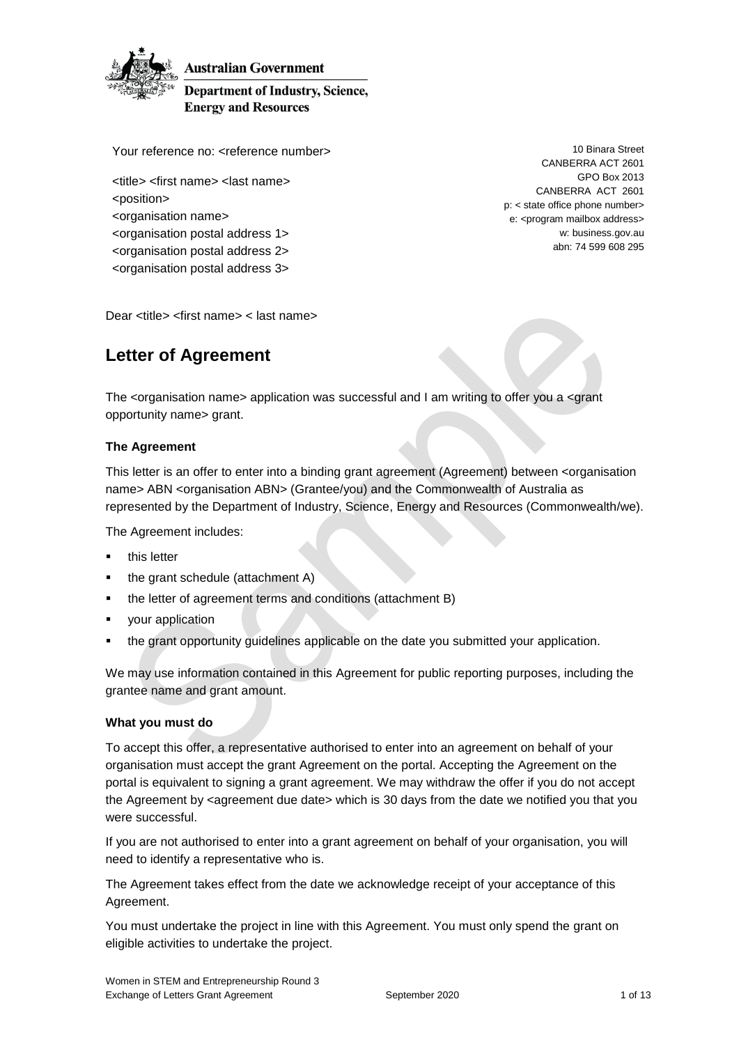

**Australian Government** 

**Department of Industry, Science, Energy and Resources** 

Your reference no: <reference number>

<title> <first name> <last name> <position> <organisation name> <organisation postal address 1> <organisation postal address 2>

<organisation postal address 3>

10 Binara Street CANBERRA ACT 2601 GPO Box 2013 CANBERRA ACT 2601 p: < state office phone number> e: <program mailbox address> w: business.gov.au abn: 74 599 608 295

Dear <title> <first name> < last name>

## **Letter of Agreement**

The <organisation name> application was successful and I am writing to offer you a <grant opportunity name> grant.

### **The Agreement**

This letter is an offer to enter into a binding grant agreement (Agreement) between <organisation name> ABN <organisation ABN> (Grantee/you) and the Commonwealth of Australia as represented by the Department of Industry, Science, Energy and Resources (Commonwealth/we).

The Agreement includes:

- this letter
- the grant schedule (attachment A)
- the letter of agreement terms and conditions (attachment B)
- your application
- the grant opportunity guidelines applicable on the date you submitted your application.

We may use information contained in this Agreement for public reporting purposes, including the grantee name and grant amount.

### **What you must do**

To accept this offer, a representative authorised to enter into an agreement on behalf of your organisation must accept the grant Agreement on the portal. Accepting the Agreement on the portal is equivalent to signing a grant agreement. We may withdraw the offer if you do not accept the Agreement by <agreement due date> which is 30 days from the date we notified you that you were successful.

If you are not authorised to enter into a grant agreement on behalf of your organisation, you will need to identify a representative who is.

The Agreement takes effect from the date we acknowledge receipt of your acceptance of this Agreement.

You must undertake the project in line with this Agreement. You must only spend the grant on eligible activities to undertake the project.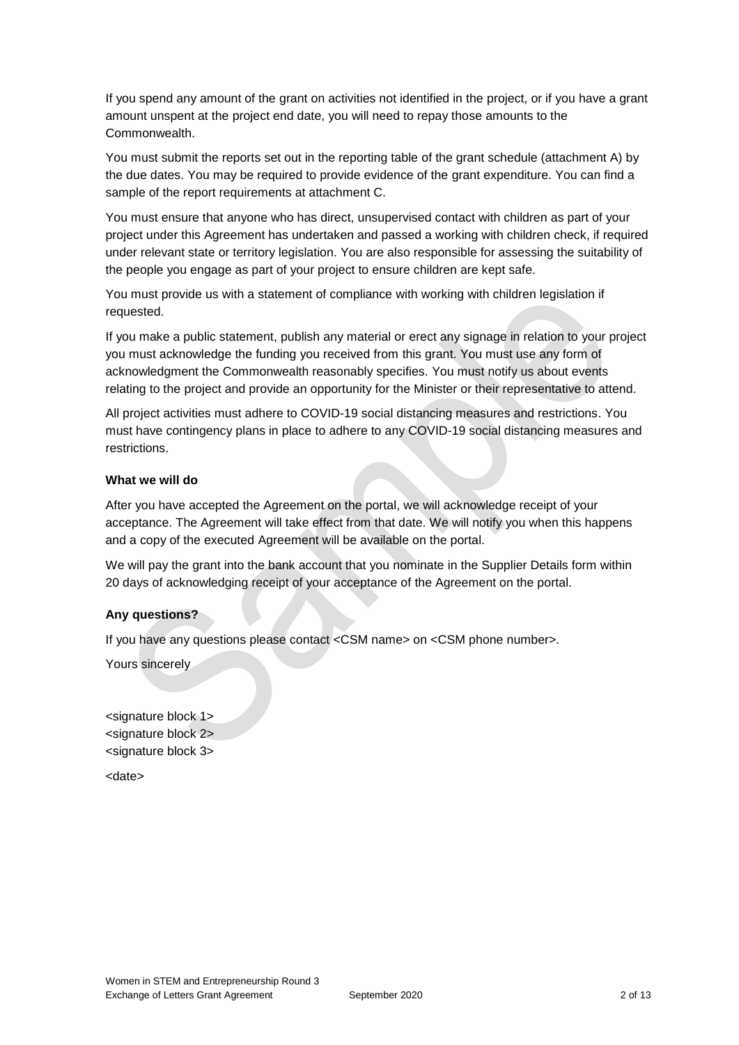If you spend any amount of the grant on activities not identified in the project, or if you have a grant amount unspent at the project end date, you will need to repay those amounts to the Commonwealth.

You must submit the reports set out in the reporting table of the grant schedule (attachment A) by the due dates. You may be required to provide evidence of the grant expenditure. You can find a sample of the report requirements at attachment C.

You must ensure that anyone who has direct, unsupervised contact with children as part of your project under this Agreement has undertaken and passed a working with children check, if required under relevant state or territory legislation. You are also responsible for assessing the suitability of the people you engage as part of your project to ensure children are kept safe.

You must provide us with a statement of compliance with working with children legislation if requested.

If you make a public statement, publish any material or erect any signage in relation to your project you must acknowledge the funding you received from this grant. You must use any form of acknowledgment the Commonwealth reasonably specifies. You must notify us about events relating to the project and provide an opportunity for the Minister or their representative to attend.

All project activities must adhere to COVID-19 social distancing measures and restrictions. You must have contingency plans in place to adhere to any COVID-19 social distancing measures and restrictions.

### **What we will do**

After you have accepted the Agreement on the portal, we will acknowledge receipt of your acceptance. The Agreement will take effect from that date. We will notify you when this happens and a copy of the executed Agreement will be available on the portal.

We will pay the grant into the bank account that you nominate in the Supplier Details form within 20 days of acknowledging receipt of your acceptance of the Agreement on the portal.

### **Any questions?**

If you have any questions please contact <CSM name> on <CSM phone number>.

Yours sincerely

<signature block 1> <signature block 2> <signature block 3>

<date>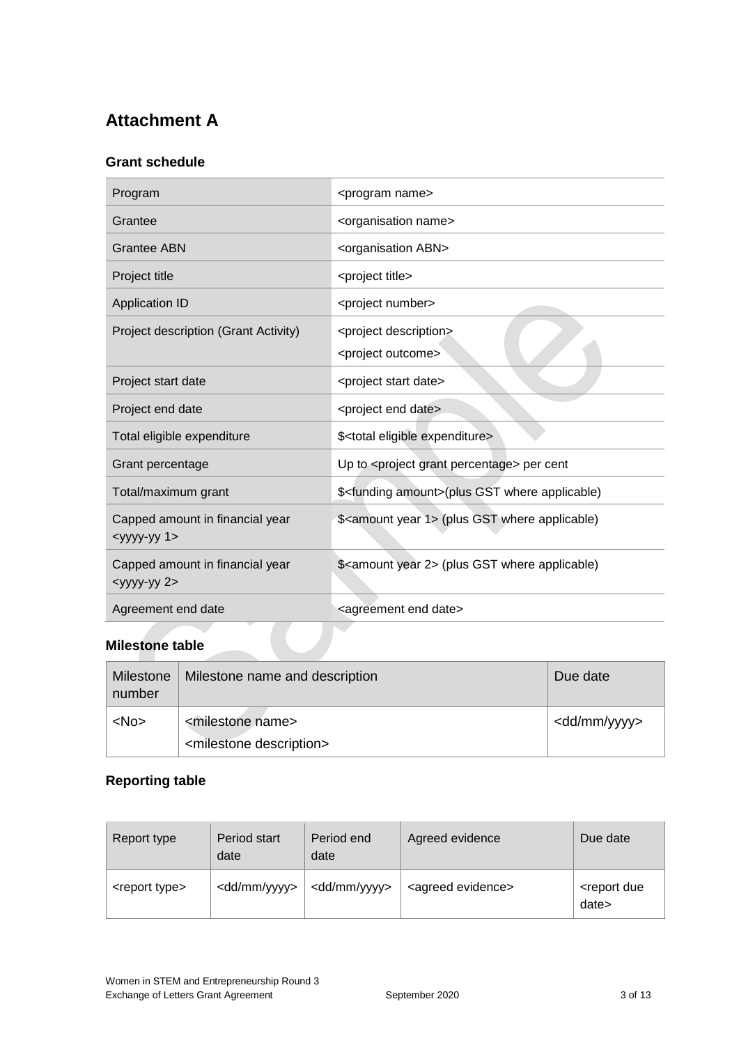## **Attachment A**

### **Grant schedule**

| Program                                                     | <program name=""></program>                                           |
|-------------------------------------------------------------|-----------------------------------------------------------------------|
| Grantee                                                     | <organisation name=""></organisation>                                 |
| <b>Grantee ABN</b>                                          | <organisation abn=""></organisation>                                  |
| Project title                                               | <project title=""></project>                                          |
| <b>Application ID</b>                                       | <project number=""></project>                                         |
| Project description (Grant Activity)                        | <project description=""><br/><project outcome=""></project></project> |
| Project start date                                          | <project date="" start=""></project>                                  |
| Project end date                                            | <project date="" end=""></project>                                    |
| Total eligible expenditure                                  | \$ <total eligible="" expenditure=""></total>                         |
| Grant percentage                                            | Up to <project grant="" percentage=""> per cent</project>             |
| Total/maximum grant                                         | \$ <funding amount="">(plus GST where applicable)</funding>           |
| Capped amount in financial year<br>$<$ yyyy-yy 1>           | \$ <amount 1="" year=""> (plus GST where applicable)</amount>         |
| Capped amount in financial year<br><yyyy-yy 2=""></yyyy-yy> | \$ <amount 2="" year=""> (plus GST where applicable)</amount>         |
| Agreement end date                                          | <agreement date="" end=""></agreement>                                |

# **Milestone table**

| Milestone<br>number | Milestone name and description         | Due date                |
|---------------------|----------------------------------------|-------------------------|
| $<$ No $>$          | <milestone name=""></milestone>        | <dd mm="" yyyy=""></dd> |
|                     | <milestone description=""></milestone> |                         |

### **Reporting table**

| Report type               | Period start<br>date    | Period end<br>date      | Agreed evidence               | Due date                            |
|---------------------------|-------------------------|-------------------------|-------------------------------|-------------------------------------|
| <report type=""></report> | <dd mm="" yyyy=""></dd> | <dd mm="" yyyy=""></dd> | <agreed evidence=""></agreed> | <report due<br="">date&gt;</report> |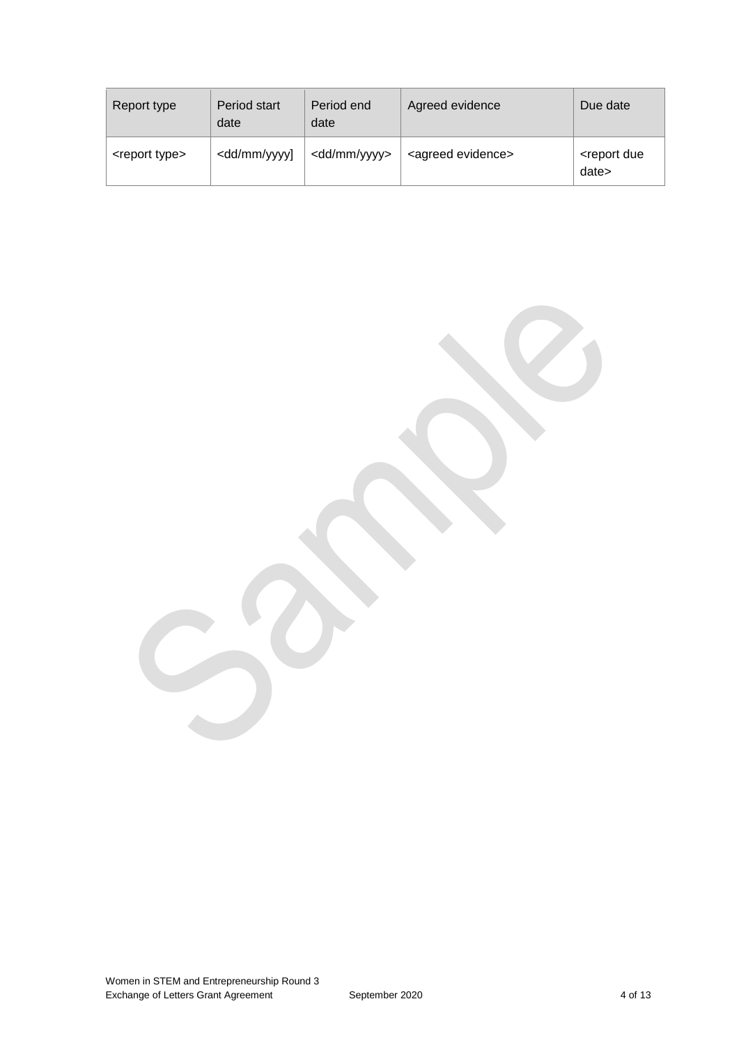| Report type               | Period start<br>date                                                                                                                              | Period end<br>date      | Agreed evidence               | Due date                            |
|---------------------------|---------------------------------------------------------------------------------------------------------------------------------------------------|-------------------------|-------------------------------|-------------------------------------|
| <report type=""></report> | <dd mm="" td="" yyyy]<=""><td><dd mm="" yyyy=""></dd></td><td><agreed evidence=""></agreed></td><td><report due<br="">date&gt;</report></td></dd> | <dd mm="" yyyy=""></dd> | <agreed evidence=""></agreed> | <report due<br="">date&gt;</report> |

Women in STEM and Entrepreneurship Round 3 Exchange of Letters Grant Agreement September 2020 4 of 13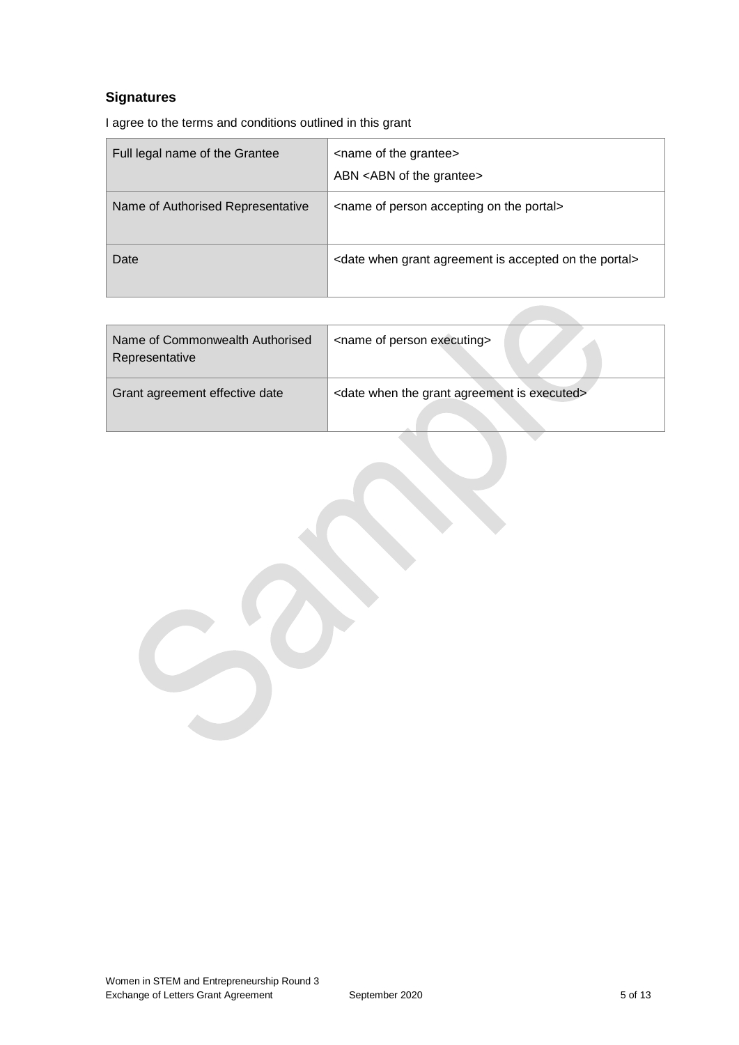## **Signatures**

I agree to the terms and conditions outlined in this grant

| Full legal name of the Grantee    | <name grantee="" of="" the=""><br/>ABN <abn grantee="" of="" the=""></abn></name>    |
|-----------------------------------|--------------------------------------------------------------------------------------|
| Name of Authorised Representative | <name accepting="" of="" on="" person="" portal="" the=""></name>                    |
| Date                              | <date accepted="" agreement="" grant="" is="" on="" portal="" the="" when=""></date> |

| Name of Commonwealth Authorised<br>Representative | <name executing="" of="" person=""></name>                           |
|---------------------------------------------------|----------------------------------------------------------------------|
| Grant agreement effective date                    | <date agreement="" executed="" grant="" is="" the="" when=""></date> |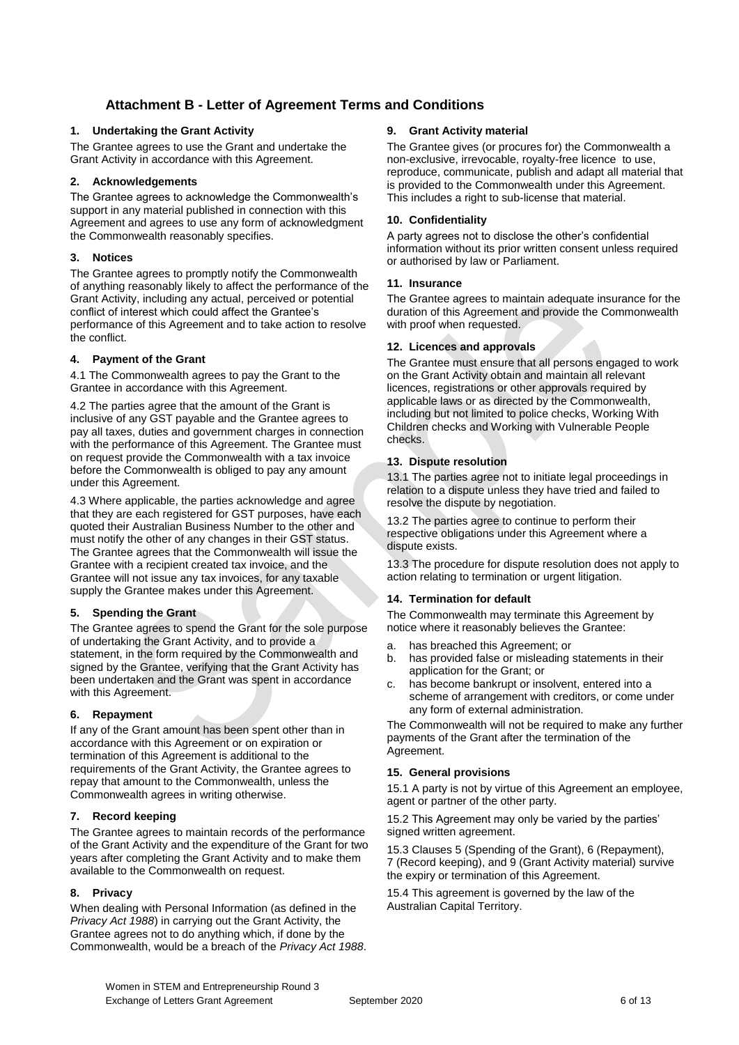### **Attachment B - Letter of Agreement Terms and Conditions**

### **1. Undertaking the Grant Activity**

The Grantee agrees to use the Grant and undertake the Grant Activity in accordance with this Agreement.

### **2. Acknowledgements**

The Grantee agrees to acknowledge the Commonwealth's support in any material published in connection with this Agreement and agrees to use any form of acknowledgment the Commonwealth reasonably specifies.

### **3. Notices**

The Grantee agrees to promptly notify the Commonwealth of anything reasonably likely to affect the performance of the Grant Activity, including any actual, perceived or potential conflict of interest which could affect the Grantee's performance of this Agreement and to take action to resolve the conflict.

### **4. Payment of the Grant**

4.1 The Commonwealth agrees to pay the Grant to the Grantee in accordance with this Agreement.

4.2 The parties agree that the amount of the Grant is inclusive of any GST payable and the Grantee agrees to pay all taxes, duties and government charges in connection with the performance of this Agreement. The Grantee must on request provide the Commonwealth with a tax invoice before the Commonwealth is obliged to pay any amount under this Agreement.

4.3 Where applicable, the parties acknowledge and agree that they are each registered for GST purposes, have each quoted their Australian Business Number to the other and must notify the other of any changes in their GST status. The Grantee agrees that the Commonwealth will issue the Grantee with a recipient created tax invoice, and the Grantee will not issue any tax invoices, for any taxable supply the Grantee makes under this Agreement.

#### **5. Spending the Grant**

The Grantee agrees to spend the Grant for the sole purpose of undertaking the Grant Activity, and to provide a statement, in the form required by the Commonwealth and signed by the Grantee, verifying that the Grant Activity has been undertaken and the Grant was spent in accordance with this Agreement.

#### **6. Repayment**

If any of the Grant amount has been spent other than in accordance with this Agreement or on expiration or termination of this Agreement is additional to the requirements of the Grant Activity, the Grantee agrees to repay that amount to the Commonwealth, unless the Commonwealth agrees in writing otherwise.

#### **7. Record keeping**

The Grantee agrees to maintain records of the performance of the Grant Activity and the expenditure of the Grant for two years after completing the Grant Activity and to make them available to the Commonwealth on request.

#### **8. Privacy**

When dealing with Personal Information (as defined in the *Privacy Act 1988*) in carrying out the Grant Activity, the Grantee agrees not to do anything which, if done by the Commonwealth, would be a breach of the *Privacy Act 1988*.

### **9. Grant Activity material**

The Grantee gives (or procures for) the Commonwealth a non-exclusive, irrevocable, royalty-free licence to use, reproduce, communicate, publish and adapt all material that is provided to the Commonwealth under this Agreement. This includes a right to sub-license that material.

### **10. Confidentiality**

A party agrees not to disclose the other's confidential information without its prior written consent unless required or authorised by law or Parliament.

#### **11. Insurance**

The Grantee agrees to maintain adequate insurance for the duration of this Agreement and provide the Commonwealth with proof when requested.

### **12. Licences and approvals**

The Grantee must ensure that all persons engaged to work on the Grant Activity obtain and maintain all relevant licences, registrations or other approvals required by applicable laws or as directed by the Commonwealth, including but not limited to police checks, Working With Children checks and Working with Vulnerable People checks.

### **13. Dispute resolution**

13.1 The parties agree not to initiate legal proceedings in relation to a dispute unless they have tried and failed to resolve the dispute by negotiation.

13.2 The parties agree to continue to perform their respective obligations under this Agreement where a dispute exists.

13.3 The procedure for dispute resolution does not apply to action relating to termination or urgent litigation.

#### **14. Termination for default**

The Commonwealth may terminate this Agreement by notice where it reasonably believes the Grantee:

- a. has breached this Agreement; or
- b. has provided false or misleading statements in their application for the Grant; or
- c. has become bankrupt or insolvent, entered into a scheme of arrangement with creditors, or come under any form of external administration.

The Commonwealth will not be required to make any further payments of the Grant after the termination of the Agreement.

#### **15. General provisions**

15.1 A party is not by virtue of this Agreement an employee, agent or partner of the other party.

15.2 This Agreement may only be varied by the parties' signed written agreement.

15.3 Clauses 5 (Spending of the Grant), 6 (Repayment), 7 (Record keeping), and 9 (Grant Activity material) survive the expiry or termination of this Agreement.

15.4 This agreement is governed by the law of the Australian Capital Territory.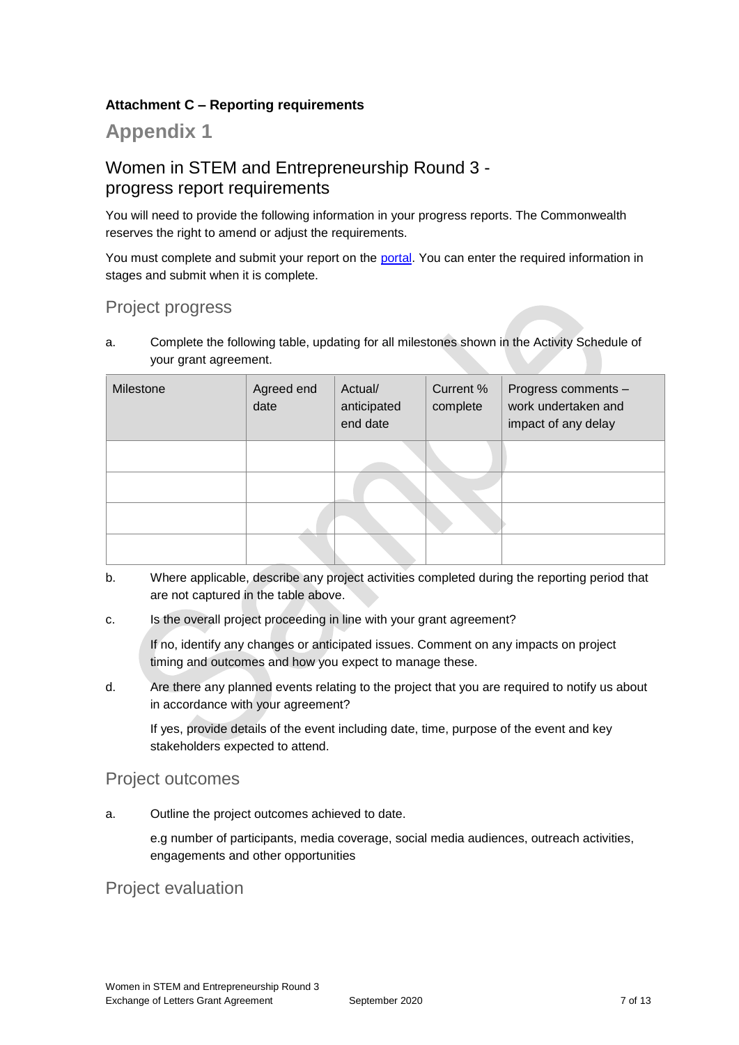### **Attachment C – Reporting requirements**

## **Appendix 1**

## Women in STEM and Entrepreneurship Round 3 progress report requirements

You will need to provide the following information in your progress reports. The Commonwealth reserves the right to amend or adjust the requirements.

You must complete and submit your report on the [portal.](https://portal.business.gov.au/) You can enter the required information in stages and submit when it is complete.

## Project progress

a. Complete the following table, updating for all milestones shown in the Activity Schedule of your grant agreement.

| Milestone | Agreed end<br>date | Actual/<br>anticipated<br>end date | Current %<br>complete | Progress comments -<br>work undertaken and<br>impact of any delay |
|-----------|--------------------|------------------------------------|-----------------------|-------------------------------------------------------------------|
|           |                    |                                    |                       |                                                                   |
|           |                    |                                    |                       |                                                                   |
|           |                    |                                    |                       |                                                                   |
|           |                    |                                    |                       |                                                                   |

- b. Where applicable, describe any project activities completed during the reporting period that are not captured in the table above.
- c. Is the overall project proceeding in line with your grant agreement?

If no, identify any changes or anticipated issues. Comment on any impacts on project timing and outcomes and how you expect to manage these.

d. Are there any planned events relating to the project that you are required to notify us about in accordance with your agreement?

If yes, provide details of the event including date, time, purpose of the event and key stakeholders expected to attend.

### Project outcomes

a. Outline the project outcomes achieved to date.

e.g number of participants, media coverage, social media audiences, outreach activities, engagements and other opportunities

### Project evaluation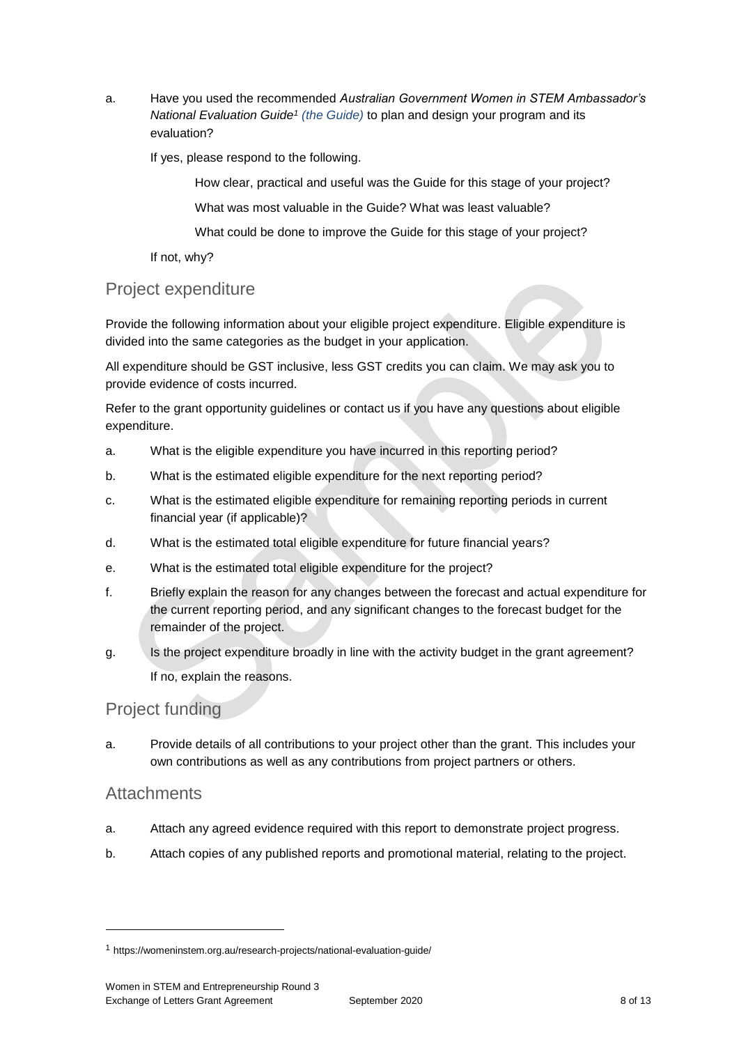a. Have you used the recommended *Australian Government Women in STEM Ambassador's [National Evaluation Guide](https://womeninstem.org.au/research-projects/national-evaluation-guide/)<sup>1</sup> (the Guide)* to plan and design your program and its evaluation?

If yes, please respond to the following.

How clear, practical and useful was the Guide for this stage of your project?

What was most valuable in the Guide? What was least valuable?

What could be done to improve the Guide for this stage of your project?

If not, why?

## Project expenditure

Provide the following information about your eligible project expenditure. Eligible expenditure is divided into the same categories as the budget in your application.

All expenditure should be GST inclusive, less GST credits you can claim. We may ask you to provide evidence of costs incurred.

Refer to the grant opportunity guidelines or contact us if you have any questions about eligible expenditure.

- a. What is the eligible expenditure you have incurred in this reporting period?
- b. What is the estimated eligible expenditure for the next reporting period?
- c. What is the estimated eligible expenditure for remaining reporting periods in current financial year (if applicable)?
- d. What is the estimated total eligible expenditure for future financial years?
- e. What is the estimated total eligible expenditure for the project?
- f. Briefly explain the reason for any changes between the forecast and actual expenditure for the current reporting period, and any significant changes to the forecast budget for the remainder of the project.
- g. Is the project expenditure broadly in line with the activity budget in the grant agreement? If no, explain the reasons.

## Project funding

a. Provide details of all contributions to your project other than the grant. This includes your own contributions as well as any contributions from project partners or others.

### **Attachments**

-

- a. Attach any agreed evidence required with this report to demonstrate project progress.
- b. Attach copies of any published reports and promotional material, relating to the project.

<sup>1</sup> https://womeninstem.org.au/research-projects/national-evaluation-guide/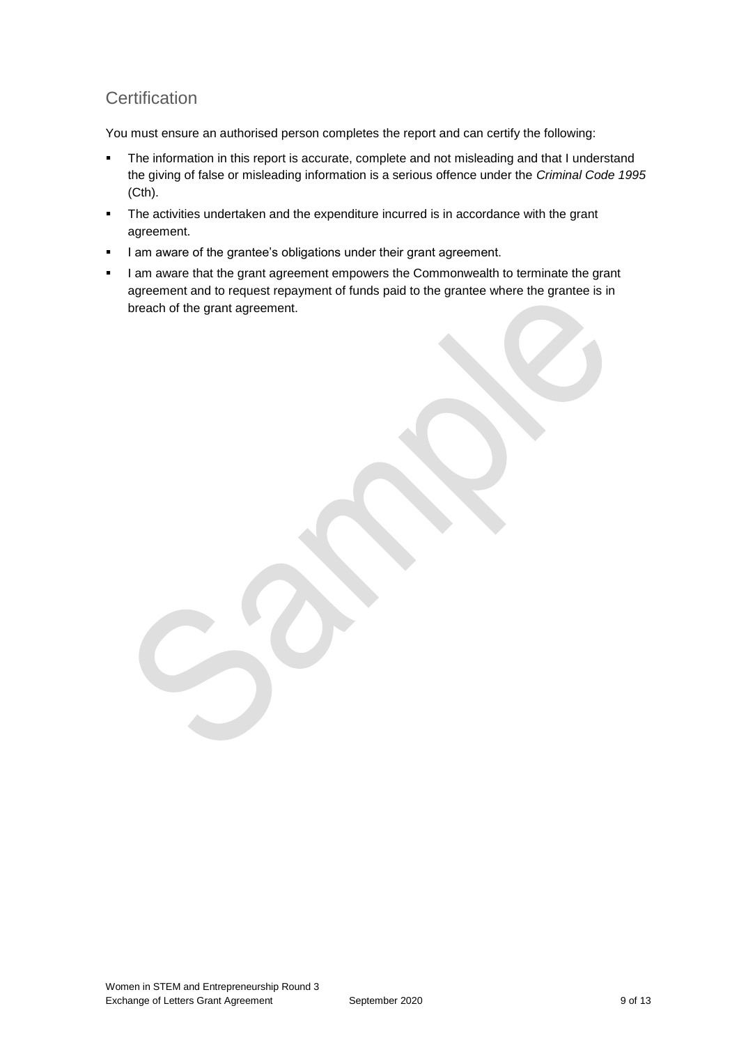## **Certification**

You must ensure an authorised person completes the report and can certify the following:

- The information in this report is accurate, complete and not misleading and that I understand the giving of false or misleading information is a serious offence under the *Criminal Code 1995* (Cth).
- The activities undertaken and the expenditure incurred is in accordance with the grant agreement.
- I am aware of the grantee's obligations under their grant agreement.
- I am aware that the grant agreement empowers the Commonwealth to terminate the grant agreement and to request repayment of funds paid to the grantee where the grantee is in breach of the grant agreement.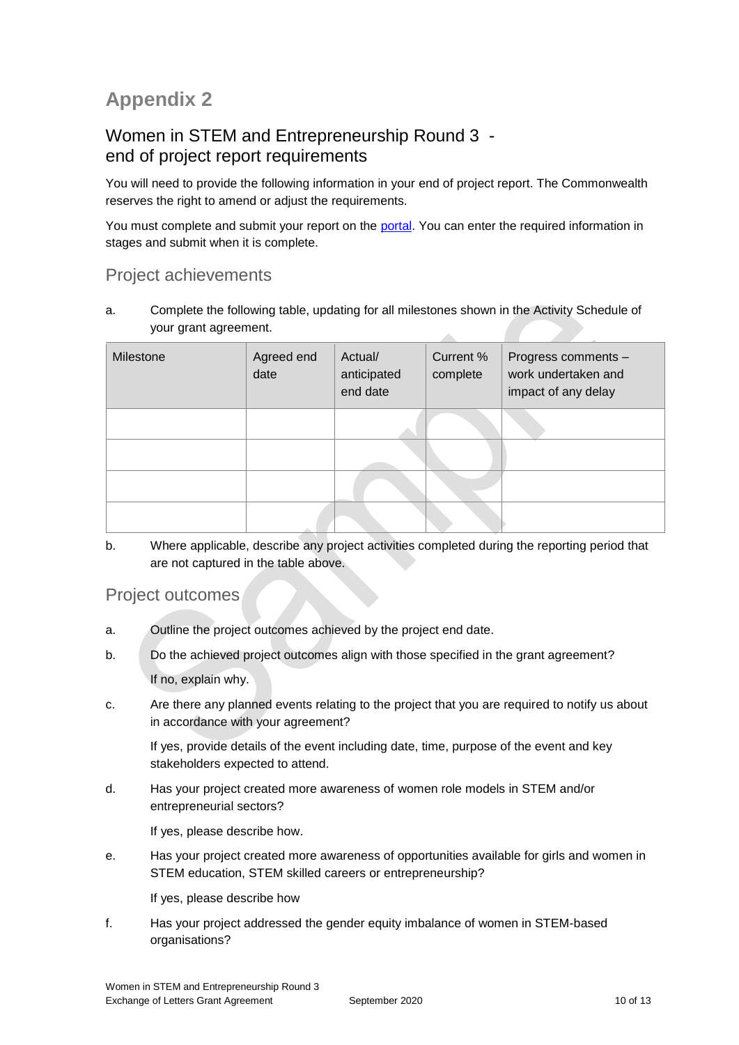# **Appendix 2**

## Women in STEM and Entrepreneurship Round 3 end of project report requirements

You will need to provide the following information in your end of project report. The Commonwealth reserves the right to amend or adjust the requirements.

You must complete and submit your report on the [portal.](https://portal.business.gov.au/) You can enter the required information in stages and submit when it is complete.

## Project achievements

a. Complete the following table, updating for all milestones shown in the Activity Schedule of your grant agreement. A

| Milestone | Agreed end<br>date | Actual/<br>anticipated<br>end date | Current %<br>complete | Progress comments -<br>work undertaken and<br>impact of any delay |
|-----------|--------------------|------------------------------------|-----------------------|-------------------------------------------------------------------|
|           |                    |                                    |                       |                                                                   |
|           |                    |                                    |                       |                                                                   |
|           |                    |                                    |                       |                                                                   |
|           |                    |                                    |                       |                                                                   |

b. Where applicable, describe any project activities completed during the reporting period that are not captured in the table above.

## Project outcomes

- a. Outline the project outcomes achieved by the project end date.
- b. Do the achieved project outcomes align with those specified in the grant agreement?

If no, explain why.

c. Are there any planned events relating to the project that you are required to notify us about in accordance with your agreement?

If yes, provide details of the event including date, time, purpose of the event and key stakeholders expected to attend.

d. Has your project created more awareness of women role models in STEM and/or entrepreneurial sectors?

If yes, please describe how.

e. Has your project created more awareness of opportunities available for girls and women in STEM education, STEM skilled careers or entrepreneurship?

If yes, please describe how

f. Has your project addressed the gender equity imbalance of women in STEM-based organisations?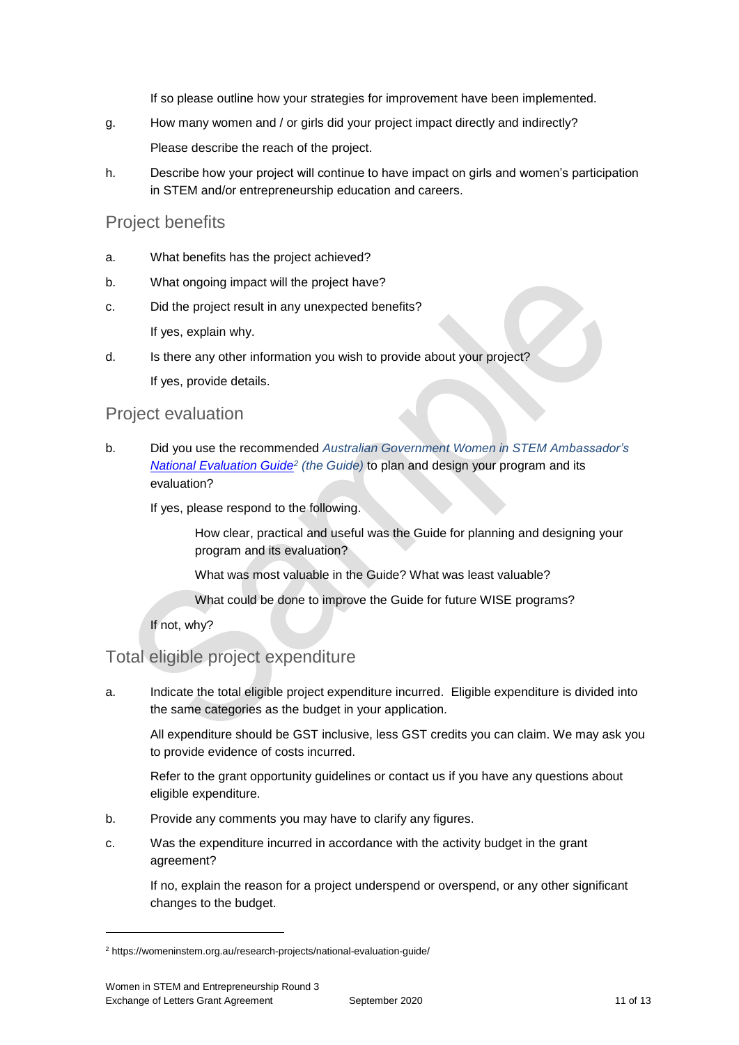If so please outline how your strategies for improvement have been implemented.

g. How many women and / or girls did your project impact directly and indirectly?

Please describe the reach of the project.

h. Describe how your project will continue to have impact on girls and women's participation in STEM and/or entrepreneurship education and careers.

### Project benefits

- a. What benefits has the project achieved?
- b. What ongoing impact will the project have?
- c. Did the project result in any unexpected benefits? If yes, explain why.
- d. Is there any other information you wish to provide about your project?

If yes, provide details.

### Project evaluation

b. Did you use the recommended *Australian Government Women in STEM Ambassador's [National Evaluation Guide](https://womeninstem.org.au/research-projects/national-evaluation-guide/)<sup>2</sup> (the Guide)* to plan and design your program and its evaluation?

If yes, please respond to the following.

How clear, practical and useful was the Guide for planning and designing your program and its evaluation?

What was most valuable in the Guide? What was least valuable?

What could be done to improve the Guide for future WISE programs?

If not, why?

## Total eligible project expenditure

a. Indicate the total eligible project expenditure incurred. Eligible expenditure is divided into the same categories as the budget in your application.

All expenditure should be GST inclusive, less GST credits you can claim. We may ask you to provide evidence of costs incurred.

Refer to the grant opportunity guidelines or contact us if you have any questions about eligible expenditure.

- b. Provide any comments you may have to clarify any figures.
- c. Was the expenditure incurred in accordance with the activity budget in the grant agreement?

If no, explain the reason for a project underspend or overspend, or any other significant changes to the budget.

-

<sup>&</sup>lt;sup>2</sup> https://womeninstem.org.au/research-projects/national-evaluation-guide/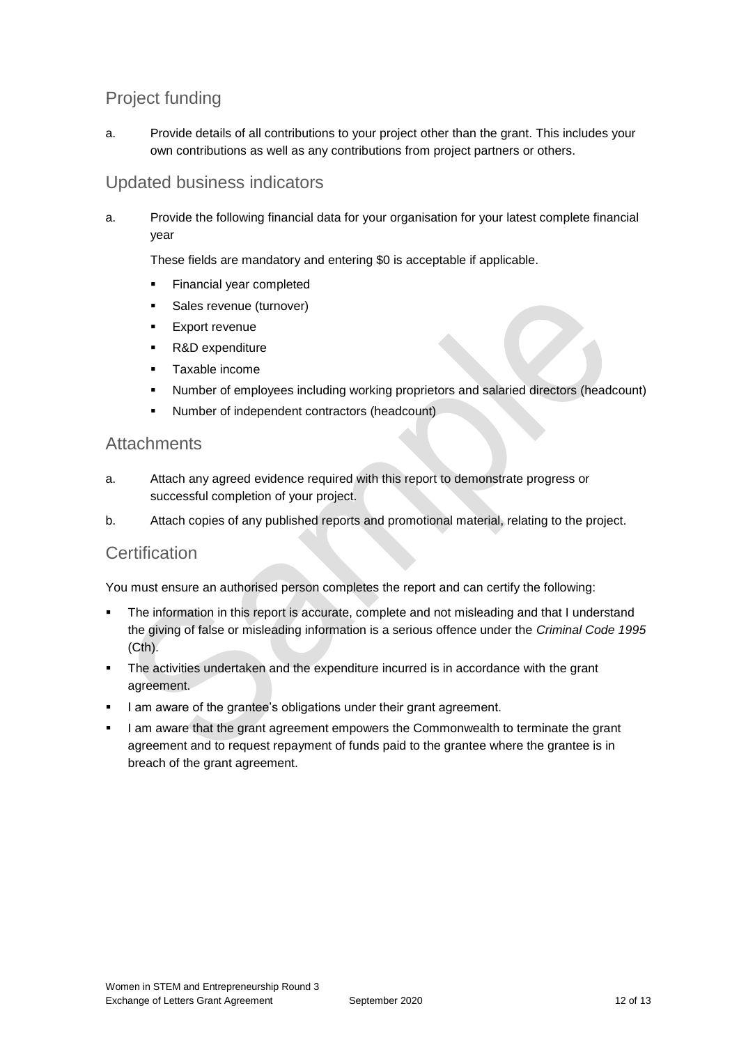## Project funding

a. Provide details of all contributions to your project other than the grant. This includes your own contributions as well as any contributions from project partners or others.

## Updated business indicators

a. Provide the following financial data for your organisation for your latest complete financial year

These fields are mandatory and entering \$0 is acceptable if applicable.

- **Financial year completed**
- **Sales revenue (turnover)**
- **Export revenue**
- R&D expenditure
- **Taxable income**
- Number of employees including working proprietors and salaried directors (headcount)
- Number of independent contractors (headcount)

### **Attachments**

- a. Attach any agreed evidence required with this report to demonstrate progress or successful completion of your project.
- b. Attach copies of any published reports and promotional material, relating to the project.

## **Certification**

You must ensure an authorised person completes the report and can certify the following:

- The information in this report is accurate, complete and not misleading and that I understand the giving of false or misleading information is a serious offence under the *Criminal Code 1995* (Cth).
- The activities undertaken and the expenditure incurred is in accordance with the grant agreement.
- I am aware of the grantee's obligations under their grant agreement.
- I am aware that the grant agreement empowers the Commonwealth to terminate the grant agreement and to request repayment of funds paid to the grantee where the grantee is in breach of the grant agreement.